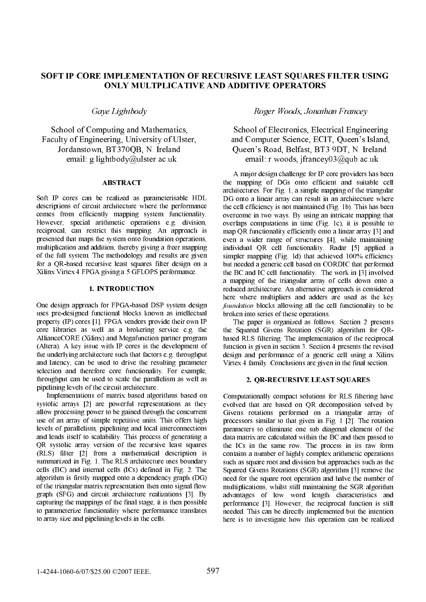# SOFT IP CORE IMPLEMENTATION OF RECURSIVE LEAST SOUARES FILTER USING ONLY MULTPLICATIVE AND ADDITIVE OPERATORS

Gaye Lightbody

School of Computing and Mathematics. Faculty of Engineering, University of Ulster, Jordanstown, BT370QB, N. Ireland email g lightbody@ulster.ac.uk

#### ABSTRACT

Soft IP cores can be realized as parameterisable HDL descriptions of circuit architecture where the performance comes from efficiently mapping system functionality. However, special arithmetic operations e.g. division, reciprocal, can restrict this mapping. An approach is presented that maps the system onto foundation operations, multiplication and addition, thereby giving a freer mapping of the full system. The methodology and results are given for a QR-based recursive least squares filter design on a Xilinx Virtex 4 FPGA giving a 5 GFLOPS performance.

#### 1. INTRODUCTION

One design approach for FPGA-based DSP system design uses pre-designed functional blocks known as intellectual property (IP) cores [1]. FPGA vendors provide their own IP core libraries as well as a brokering service e.g. the AllianceCORE (Xilinx) and Megafunction partner program (Altera). A key issue with IP cores is the development of the underlying architecture such that factors e.g. throughput and latency, can be used to drive the resulting parameter selection and therefore core functionality. For example, throughput can be used to scale the parallelism as well as pipelining levels of the circuit architecture.

 Implementations of matrix based algorithms based on systolic arrays [2] are powerful representations as they allow processing power to be gained through the concurrent use of an array of simple repetitive units. This offers high levels of parallelism, pipelining and local interconnections and lends itself to scalability. This process of generating a QR systolic array version of the recursive least squares (RLS) filter [2] from a mathematical description is summarized in Fig. 1. The RLS architecture uses boundary cells (BC) and internal cells (ICs) defined in Fig. 2. The algorithm is firstly mapped onto a dependency graph (DG) of the triangular matrix representation then onto signal flow graph (SFG) and circuit architecture realizations [3]. By capturing the mappings of the final stage, it is then possible to parameterize functionality where performance translates to array size and pipelining levels in the cells.

## Roger Woods, Jonathan Francey

School of Electronics. Electrical Engineering and Computer Science, ECIT, Queen's Island, Queen's Road, Belfast, BT3 9DT, N. Ireland. email: r.woods. jfrancey03@qub.ac.uk.

 A major design challenge for IP core providers has been the mapping of DGs onto efficient and suitable cell architectures. For Fig. 1, a simple mapping of the triangular DG onto a linear array can result in an architecture where the cell efficiency is not maintained (Fig. 1b). This has been overcome in two ways. By using an intricate mapping that overlaps computations in time (Fig. 1c), it is possible to map QR functionality efficiently onto a linear array [3] and even a wider range of structures [4], while maintaining individual QR cell functionality. Radar [5] applied a simpler mapping (Fig. 1d) that achieved 100% efficiency but needed a generic cell based on CORDIC that performed the BC and IC cell functionality. The work in [3] involved a mapping of the triangular array of cells down onto a reduced architecture. An alternative approach is considered here where multipliers and adders are used as the key foundation blocks allowing all the cell functionality to be broken into series of these operations.

 The paper is organized as follows. Section 2 presents the Squared Givens Rotation (SGR) algorithm for QRbased RLS filtering. The implementation of the reciprocal function is given in section 3. Section 4 presents the revised design and performance of a generic cell using a Xilinx Virtex 4 family. Conclusions are given in the final section.

#### 2. QR-RECURSIVE LEAST SQUARES

Computationally compact solutions for RLS filtering have evolved that are based on QR decomposition solved by Givens rotations performed on a triangular array of processors similar to that given in Fig. 1 [2]. The rotation parameters to eliminate one sub diagonal element of the data matrix are calculated within the BC and then passed to the ICs in the same row. The process in its raw form contains a number of highly complex arithmetic operations such as square root and division but approaches such as the Squared Givens Rotations (SGR) algorithm [3] remove the need for the square root operation and halve the number of multiplications, whilst still maintaining the SGR algorithm advantages of low word length characteristics and performance [3]. However, the reciprocal function is still needed. This can be directly implemented but the intention here is to investigate how this operation can be realized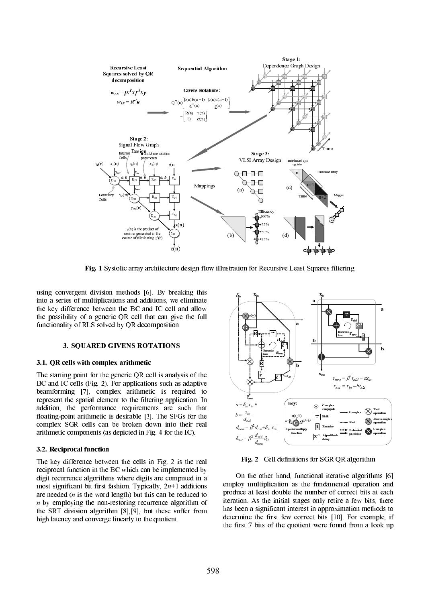

Fig. 1 Systolic array architecture design flow illustration for Recursive Least Squares filtering

using convergent division methods [6]. By breaking this into a series of multiplications and additions, we eliminate the key difference between the BC and IC cell and allow the possibility of a generic QR cell that can give the full functionality of RLS solved by QR decomposition.

#### 3. SQUARED GIVENS ROTATIONS

## 3.1. QR cells with complex arithmetic

The starting point for the generic QR cell is analysis of the BC and IC cells (Fig. 2). For applications such as adaptive beamforming [7], complex arithmetic is required to represent the spatial element to the filtering application. In addition, the performance requirements are such that floating-point arithmetic is desirable [3]. The SFGs for the complex SGR cells can be broken down into their real arithmetic components (as depicted in Fig. 4 for the IC).

#### 3.2. Reciprocal function

The key difference between the cells in Fig. 2 is the real reciprocal function in the BC which can be implemented by digit recurrence algorithms where digits are computed in a most significant bit first fashion. Typically,  $2n+1$  additions are needed (n is the word length) but this can be reduced to n by employing the non-restoring recurrence algorithm of the SRT division algorithm [8],[9], but these suffer from high latency and converge linearly to the quotient.



Fig. 2 Cell definitions for SGR QR algorithm

 On the other hand, functional iterative algorithms [6] employ multiplication as the fundamental operation and produce at least double the number of correct bits at each iteration. As the initial stages only retire a few bits, there has been a significant interest in approximation methods to determine the first few correct bits [10]. For example, if the first 7 bits of the quotient were found from a look up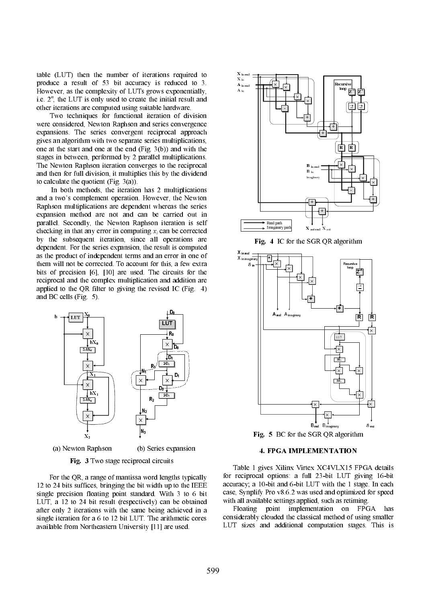table (LUT) then the number of iterations required to produce a result of 53 bit accuracy is reduced to 3. However, as the complexity of LUTs grows exponentially, i.e.  $2<sup>n</sup>$ , the LUT is only used to create the initial result and other iterations are computed using suitable hardware.

 Two techniques for functional iteration of division were considered, Newton Raphson and series convergence expansions. The series convergent reciprocal approach gives an algorithm with two separate series multiplications, one at the start and one at the end (Fig. 3(b)) and with the stages in between, performed by 2 parallel multiplications. The Newton Raphson iteration converges to the reciprocal and then for full division, it multiplies this by the dividend to calculate the quotient (Fig. 3(a)).

 In both methods, the iteration has 2 multiplications and a two's complement operation. However, the Newton Raphson multiplications are dependent whereas the series expansion method are not and can be carried out in parallel. Secondly, the Newton Raphson iteration is self checking in that any error in computing  $x_i$  can be corrected by the subsequent iteration, since all operations are dependent. For the series expansion, the result is computed as the product of independent terms and an error in one of them will not be corrected. To account for this, a few extra bits of precision [6], [10] are used. The circuits for the reciprocal and the complex multiplication and addition are applied to the QR filter to giving the revised IC (Fig. 4) and BC cells (Fig. 5).



(a) Newton Raphson (b) Series expansion

Fig. 3 Two stage reciprocal circuits

 For the QR, a range of mantissa word lengths typically 12 to 24 bits suffices, bringing the bit width up to the IEEE single precision floating point standard. With 3 to 6 bit LUT, a 12 to 24 bit result (respectively) can be obtained after only 2 iterations with the same being achieved in a single iteration for a 6 to 12 bit LUT. The arithmetic cores available from Northeastern University [11] are used.



Fig. 4 IC for the SGR QR algorithm



## 4. FPGA IMPLEMENTATION

 Table 1 gives Xilinx Virtex XC4VLX15 FPGA details for reciprocal options: a full 23-bit LUT giving 16-bit accuracy; a 10-bit and 6-bit LUT with the 1 stage. In each case, Synplify Pro v8.6.2 was used and optimized for speed with all available settings applied, such as retiming.

 Floating point implementation on FPGA has considerably clouded the classical method of using smaller LUT sizes and additional computation stages. This is